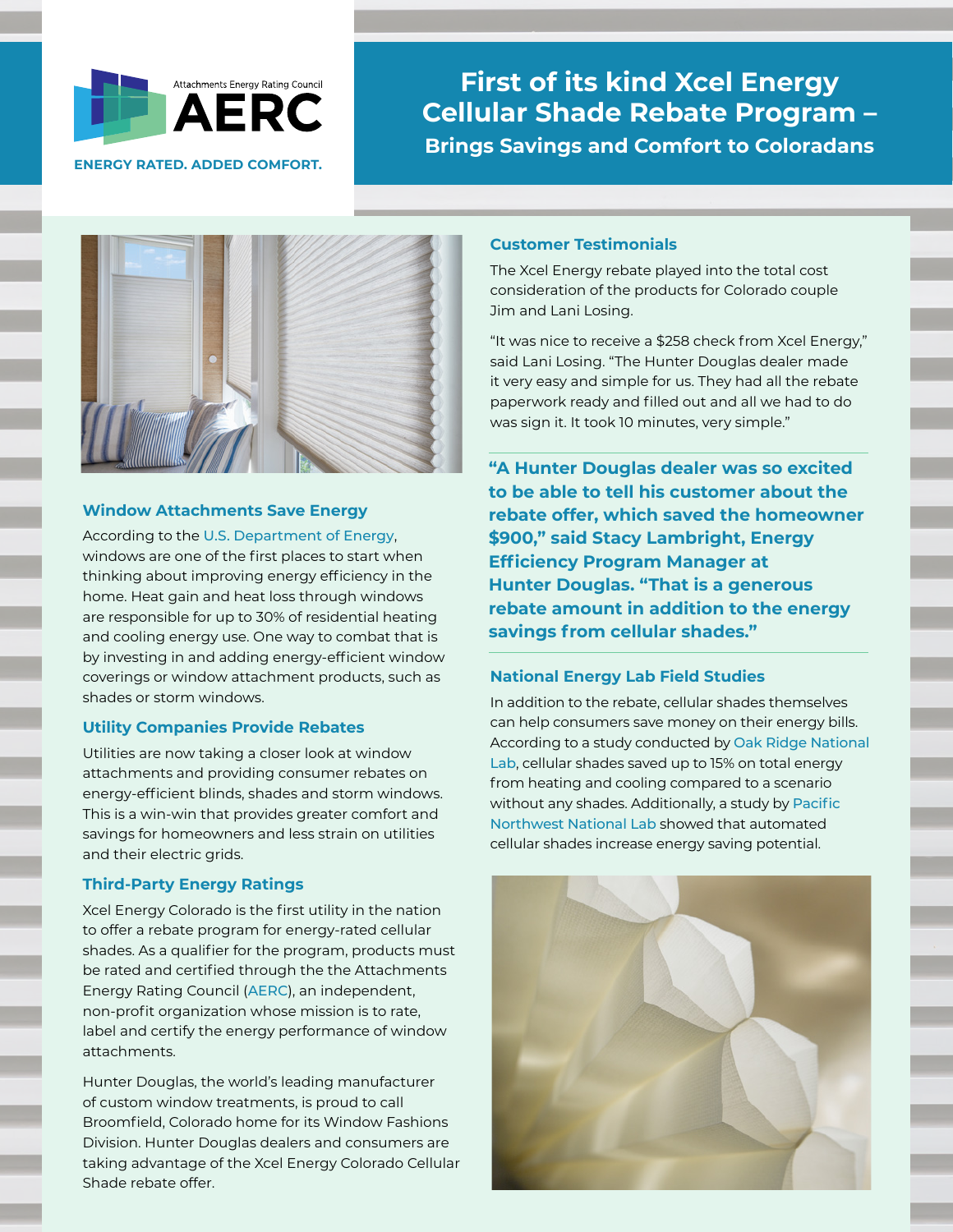

**ENERGY RATED. ADDED COMFORT.**

# **First of its kind Xcel Energy Cellular Shade Rebate Program – Brings Savings and Comfort to Coloradans**



## **Window Attachments Save Energy**

According to the [U.S. Department of Energy](https://www.energy.gov/energysaver/energy-efficient-window-coverings), windows are one of the first places to start when thinking about improving energy efficiency in the home. Heat gain and heat loss through windows are responsible for up to 30% of residential heating and cooling energy use. One way to combat that is by investing in and adding energy-efficient window coverings or window attachment products, such as shades or storm windows.

## **Utility Companies Provide Rebates**

Utilities are now taking a closer look at window attachments and providing consumer rebates on energy-efficient blinds, shades and storm windows. This is a win-win that provides greater comfort and savings for homeowners and less strain on utilities and their electric grids.

# **Third-Party Energy Ratings**

Xcel Energy Colorado is the first utility in the nation to offer a rebate program for energy-rated cellular shades. As a qualifier for the program, products must be rated and certified through the the Attachments Energy Rating Council ([AERC](https://aercenergyrating.org/)), an independent, non-profit organization whose mission is to rate, label and certify the energy performance of window attachments.

Hunter Douglas, the world's leading manufacturer of custom window treatments, is proud to call Broomfield, Colorado home for its Window Fashions Division. Hunter Douglas dealers and consumers are taking advantage of the Xcel Energy Colorado Cellular Shade rebate offer.

# **Customer Testimonials**

The Xcel Energy rebate played into the total cost consideration of the products for Colorado couple Jim and Lani Losing.

"It was nice to receive a \$258 check from Xcel Energy," said Lani Losing. "The Hunter Douglas dealer made it very easy and simple for us. They had all the rebate paperwork ready and filled out and all we had to do was sign it. It took 10 minutes, very simple."

**"A Hunter Douglas dealer was so excited to be able to tell his customer about the rebate offer, which saved the homeowner \$900," said Stacy Lambright, Energy Efficiency Program Manager at Hunter Douglas. "That is a generous rebate amount in addition to the energy savings from cellular shades."**

## **National Energy Lab Field Studies**

In addition to the rebate, cellular shades themselves can help consumers save money on their energy bills. According to a study conducted by [Oak Ridge National](https://www.osti.gov/biblio/1824993)  [Lab](https://www.osti.gov/biblio/1824993), cellular shades saved up to 15% on total energy from heating and cooling compared to a scenario without any shades. Additionally, a study by [Pacific](https://www.osti.gov/biblio/1477792)  [Northwest National Lab](https://www.osti.gov/biblio/1477792) showed that automated cellular shades increase energy saving potential.